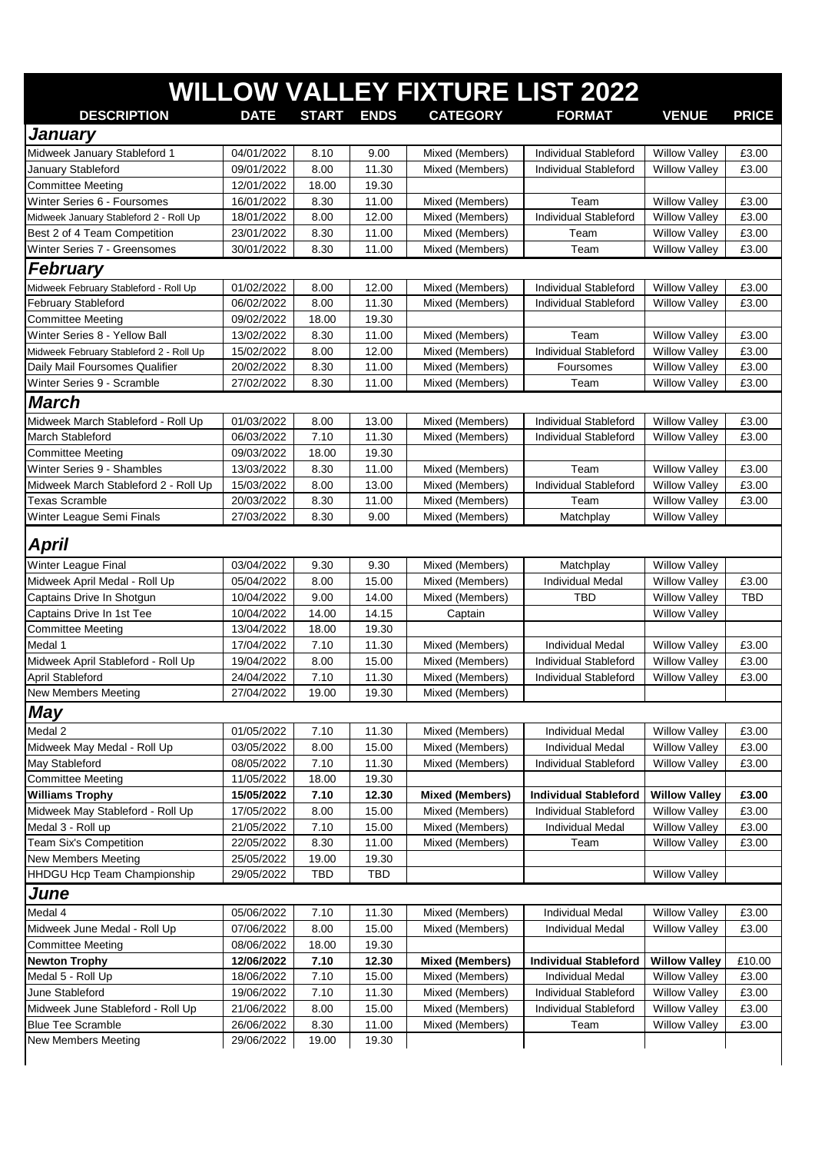|                                                                     |                          |               |                |                                    | <b>WILLOW VALLEY FIXTURE LIST 2022</b>         |                                              |                |
|---------------------------------------------------------------------|--------------------------|---------------|----------------|------------------------------------|------------------------------------------------|----------------------------------------------|----------------|
| <b>DESCRIPTION</b>                                                  | <b>DATE</b>              | START ENDS    |                | <b>CATEGORY</b>                    | <b>FORMAT</b>                                  | <b>VENUE</b>                                 | <b>PRICE</b>   |
|                                                                     |                          |               |                |                                    |                                                |                                              |                |
| January                                                             |                          |               |                |                                    |                                                |                                              |                |
| Midweek January Stableford 1                                        | 04/01/2022               | 8.10          | 9.00           | Mixed (Members)                    | <b>Individual Stableford</b>                   | <b>Willow Valley</b>                         | £3.00          |
| January Stableford<br><b>Committee Meeting</b>                      | 09/01/2022<br>12/01/2022 | 8.00<br>18.00 | 11.30<br>19.30 | Mixed (Members)                    | Individual Stableford                          | <b>Willow Valley</b>                         | £3.00          |
| Winter Series 6 - Foursomes                                         | 16/01/2022               | 8.30          | 11.00          | Mixed (Members)                    | Team                                           | <b>Willow Valley</b>                         | £3.00          |
| Midweek January Stableford 2 - Roll Up                              | 18/01/2022               | 8.00          | 12.00          | Mixed (Members)                    | Individual Stableford                          | <b>Willow Valley</b>                         | £3.00          |
| Best 2 of 4 Team Competition                                        | 23/01/2022               | 8.30          | 11.00          | Mixed (Members)                    | Team                                           | <b>Willow Valley</b>                         | £3.00          |
| Winter Series 7 - Greensomes                                        | 30/01/2022               | 8.30          | 11.00          | Mixed (Members)                    | Team                                           | <b>Willow Valley</b>                         | £3.00          |
| <b>February</b>                                                     |                          |               |                |                                    |                                                |                                              |                |
|                                                                     |                          |               |                |                                    | <b>Individual Stableford</b>                   |                                              |                |
| Midweek February Stableford - Roll Up<br><b>February Stableford</b> | 01/02/2022<br>06/02/2022 | 8.00<br>8.00  | 12.00<br>11.30 | Mixed (Members)<br>Mixed (Members) | Individual Stableford                          | <b>Willow Valley</b><br><b>Willow Valley</b> | £3.00<br>£3.00 |
| <b>Committee Meeting</b>                                            | 09/02/2022               | 18.00         | 19.30          |                                    |                                                |                                              |                |
| Winter Series 8 - Yellow Ball                                       | 13/02/2022               | 8.30          | 11.00          | Mixed (Members)                    | Team                                           | <b>Willow Valley</b>                         | £3.00          |
| Midweek February Stableford 2 - Roll Up                             | 15/02/2022               | 8.00          | 12.00          | Mixed (Members)                    | <b>Individual Stableford</b>                   | <b>Willow Valley</b>                         | £3.00          |
| Daily Mail Foursomes Qualifier                                      | 20/02/2022               | 8.30          | 11.00          | Mixed (Members)                    | Foursomes                                      | <b>Willow Valley</b>                         | £3.00          |
| Winter Series 9 - Scramble                                          | 27/02/2022               | 8.30          | 11.00          | Mixed (Members)                    | Team                                           | <b>Willow Valley</b>                         | £3.00          |
| <b>March</b>                                                        |                          |               |                |                                    |                                                |                                              |                |
|                                                                     |                          |               |                |                                    |                                                | <b>Willow Valley</b>                         | £3.00          |
| Midweek March Stableford - Roll Up<br>March Stableford              | 01/03/2022<br>06/03/2022 | 8.00<br>7.10  | 13.00<br>11.30 | Mixed (Members)<br>Mixed (Members) | Individual Stableford<br>Individual Stableford | <b>Willow Valley</b>                         | £3.00          |
| <b>Committee Meeting</b>                                            | 09/03/2022               | 18.00         | 19.30          |                                    |                                                |                                              |                |
| Winter Series 9 - Shambles                                          | 13/03/2022               | 8.30          | 11.00          | Mixed (Members)                    | Team                                           | <b>Willow Valley</b>                         | £3.00          |
| Midweek March Stableford 2 - Roll Up                                | 15/03/2022               | 8.00          | 13.00          | Mixed (Members)                    | <b>Individual Stableford</b>                   | <b>Willow Valley</b>                         | £3.00          |
| <b>Texas Scramble</b>                                               | 20/03/2022               | 8.30          | 11.00          | Mixed (Members)                    | Team                                           | <b>Willow Valley</b>                         | £3.00          |
| Winter League Semi Finals                                           | 27/03/2022               | 8.30          | 9.00           | Mixed (Members)                    | Matchplay                                      | <b>Willow Valley</b>                         |                |
|                                                                     |                          |               |                |                                    |                                                |                                              |                |
| <b>April</b>                                                        |                          |               |                |                                    |                                                |                                              |                |
| Winter League Final                                                 | 03/04/2022               | 9.30          | 9.30           | Mixed (Members)                    | Matchplay                                      | <b>Willow Valley</b>                         |                |
| Midweek April Medal - Roll Up                                       | 05/04/2022               | 8.00          | 15.00          | Mixed (Members)                    | <b>Individual Medal</b>                        | <b>Willow Valley</b>                         | £3.00          |
| Captains Drive In Shotgun                                           | 10/04/2022               | 9.00          | 14.00          | Mixed (Members)                    | TBD                                            | <b>Willow Valley</b>                         | <b>TBD</b>     |
| Captains Drive In 1st Tee                                           | 10/04/2022               | 14.00         | 14.15          | Captain                            |                                                | <b>Willow Valley</b>                         |                |
| <b>Committee Meeting</b>                                            | 13/04/2022               | 18.00         | 19.30          |                                    |                                                |                                              |                |
| Medal 1                                                             | 17/04/2022               | 7.10          | 11.30          | Mixed (Members)                    | <b>Individual Medal</b>                        | <b>Willow Valley</b>                         | £3.00          |
| Midweek April Stableford - Roll Up                                  | 19/04/2022               | 8.00          | 15.00          | Mixed (Members)                    | Individual Stableford                          | <b>Willow Valley</b>                         | £3.00          |
| April Stableford                                                    | 24/04/2022               | 7.10          | 11.30          | Mixed (Members)                    | Individual Stableford                          | <b>Willow Valley</b>                         | £3.00          |
| <b>New Members Meeting</b>                                          | 27/04/2022               | 19.00         | 19.30          | Mixed (Members)                    |                                                |                                              |                |
| May                                                                 |                          |               |                |                                    |                                                |                                              |                |
| Medal 2                                                             | 01/05/2022               | 7.10          | 11.30          | Mixed (Members)                    | <b>Individual Medal</b>                        | <b>Willow Valley</b>                         | £3.00          |
| Midweek May Medal - Roll Up                                         | 03/05/2022               | 8.00          | 15.00          | Mixed (Members)                    | Individual Medal                               | <b>Willow Valley</b>                         | £3.00          |
| May Stableford                                                      | 08/05/2022               | 7.10          | 11.30          | Mixed (Members)                    | Individual Stableford                          | <b>Willow Valley</b>                         | £3.00          |
| <b>Committee Meeting</b>                                            | 11/05/2022               | 18.00         | 19.30          |                                    |                                                |                                              |                |
| <b>Williams Trophy</b>                                              | 15/05/2022               | 7.10          | 12.30          | <b>Mixed (Members)</b>             | <b>Individual Stableford</b>                   | <b>Willow Valley</b>                         | £3.00          |
| Midweek May Stableford - Roll Up                                    | 17/05/2022               | 8.00          | 15.00          | Mixed (Members)                    | Individual Stableford                          | <b>Willow Valley</b>                         | £3.00          |
| Medal 3 - Roll up                                                   | 21/05/2022               | 7.10          | 15.00          | Mixed (Members)                    | <b>Individual Medal</b>                        | <b>Willow Valley</b>                         | £3.00          |
| Team Six's Competition                                              | 22/05/2022               | 8.30          | 11.00          | Mixed (Members)                    | Team                                           | <b>Willow Valley</b>                         | £3.00          |
| New Members Meeting                                                 | 25/05/2022               | 19.00         | 19.30          |                                    |                                                |                                              |                |
| HHDGU Hcp Team Championship                                         | 29/05/2022               | <b>TBD</b>    | <b>TBD</b>     |                                    |                                                | <b>Willow Valley</b>                         |                |
| June                                                                |                          |               |                |                                    |                                                |                                              |                |
| Medal 4                                                             | 05/06/2022               | 7.10          | 11.30          | Mixed (Members)                    | <b>Individual Medal</b>                        | <b>Willow Valley</b>                         | £3.00          |
| Midweek June Medal - Roll Up                                        | 07/06/2022               | 8.00          | 15.00          | Mixed (Members)                    | <b>Individual Medal</b>                        | <b>Willow Valley</b>                         | £3.00          |
| <b>Committee Meeting</b>                                            | 08/06/2022               | 18.00         | 19.30          |                                    |                                                |                                              |                |
| <b>Newton Trophy</b>                                                | 12/06/2022               | 7.10          | 12.30          | <b>Mixed (Members)</b>             | <b>Individual Stableford</b>                   | <b>Willow Valley</b>                         | £10.00         |
| Medal 5 - Roll Up                                                   | 18/06/2022               | 7.10          | 15.00          | Mixed (Members)                    | Individual Medal                               | <b>Willow Valley</b>                         | £3.00          |
| June Stableford                                                     | 19/06/2022               | 7.10          | 11.30          | Mixed (Members)                    | Individual Stableford                          | <b>Willow Valley</b>                         | £3.00          |
| Midweek June Stableford - Roll Up                                   | 21/06/2022               | 8.00          | 15.00          | Mixed (Members)                    | Individual Stableford                          | <b>Willow Valley</b>                         | £3.00          |
| <b>Blue Tee Scramble</b>                                            | 26/06/2022               | 8.30          | 11.00          | Mixed (Members)                    | Team                                           | <b>Willow Valley</b>                         | £3.00          |
| New Members Meeting                                                 | 29/06/2022               | 19.00         | 19.30          |                                    |                                                |                                              |                |
|                                                                     |                          |               |                |                                    |                                                |                                              |                |